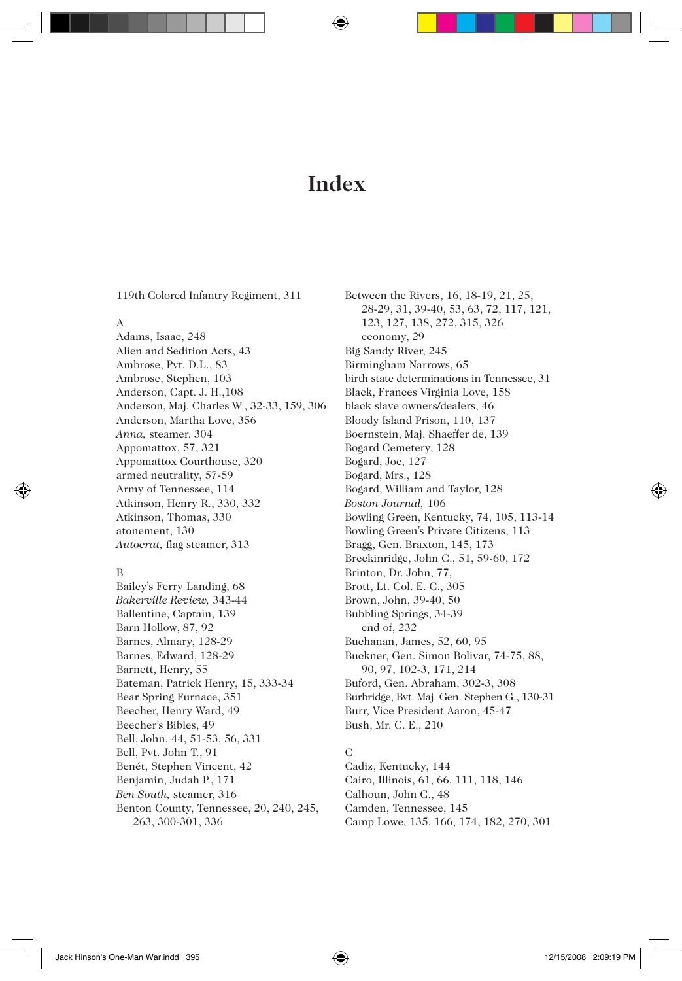# **Index**

119th Colored Infantry Regiment, 311

#### A

Adams, Isaac, 248 Alien and Sedition Acts, 43 Ambrose, Pvt. D.L., 83 Ambrose, Stephen, 103 Anderson, Capt. J. H.,108 Anderson, Maj. Charles W., 32-33, 159, 306 Anderson, Martha Love, 356 *Anna,* steamer, 304 Appomattox, 57, 321 Appomattox Courthouse, 320 armed neutrality, 57-59 Army of Tennessee, 114 Atkinson, Henry R., 330, 332 Atkinson, Thomas, 330 atonement, 130 *Autocrat,* flag steamer, 313

#### B

Bailey's Ferry Landing, 68 *Bakerville Review,* 343-44 Ballentine, Captain, 139 Barn Hollow, 87, 92 Barnes, Almary, 128-29 Barnes, Edward, 128-29 Barnett, Henry, 55 Bateman, Patrick Henry, 15, 333-34 Bear Spring Furnace, 351 Beecher, Henry Ward, 49 Beecher's Bibles, 49 Bell, John, 44, 51-53, 56, 331 Bell, Pvt. John T., 91 Benét, Stephen Vincent, 42 Benjamin, Judah P., 171 *Ben South,* steamer, 316 Benton County, Tennessee, 20, 240, 245, 263, 300-301, 336

Between the Rivers, 16, 18-19, 21, 25, 28-29, 31, 39-40, 53, 63, 72, 117, 121, 123, 127, 138, 272, 315, 326 economy, 29 Big Sandy River, 245 Birmingham Narrows, 65 birth state determinations in Tennessee, 31 Black, Frances Virginia Love, 158 black slave owners/dealers, 46 Bloody Island Prison, 110, 137 Boernstein, Maj. Shaeffer de, 139 Bogard Cemetery, 128 Bogard, Joe, 127 Bogard, Mrs., 128 Bogard, William and Taylor, 128 *Boston Journal,* 106 Bowling Green, Kentucky, 74, 105, 113-14 Bowling Green's Private Citizens, 113 Bragg, Gen. Braxton, 145, 173 Breckinridge, John C., 51, 59-60, 172 Brinton, Dr. John, 77, Brott, Lt. Col. E. C., 305 Brown, John, 39-40, 50 Bubbling Springs, 34-39 end of, 232 Buchanan, James, 52, 60, 95 Buckner, Gen. Simon Bolivar, 74-75, 88, 90, 97, 102-3, 171, 214 Buford, Gen. Abraham, 302-3, 308 Burbridge, Bvt. Maj. Gen. Stephen G., 130-31 Burr, Vice President Aaron, 45-47 Bush, Mr. C. E., 210

# C

Cadiz, Kentucky, 144 Cairo, Illinois, 61, 66, 111, 118, 146 Calhoun, John C., 48 Camden, Tennessee, 145

Camp Lowe, 135, 166, 174, 182, 270, 301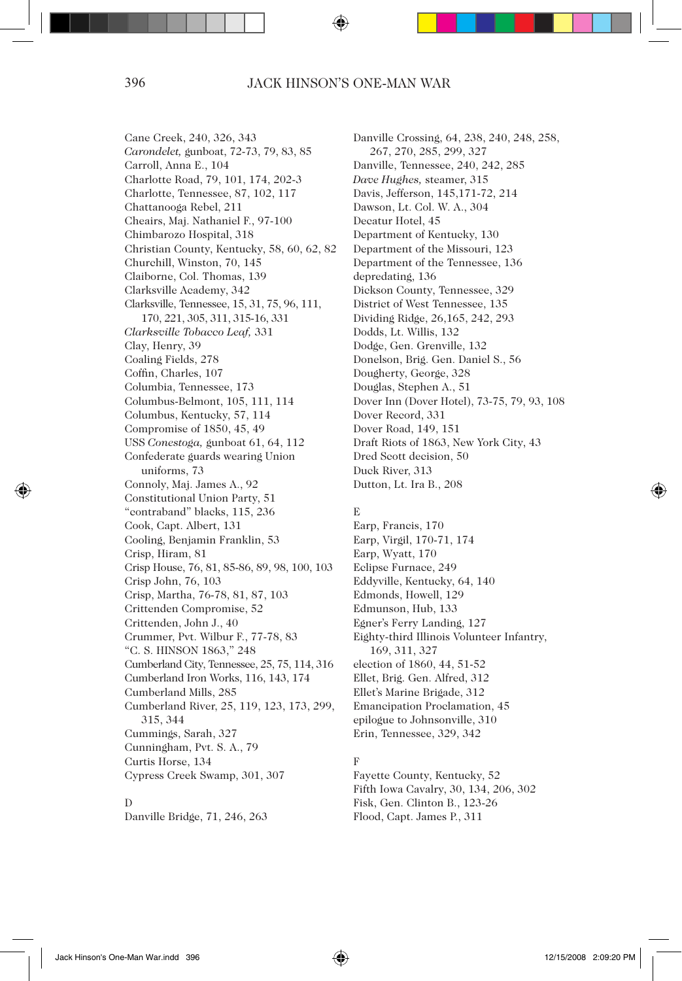Cane Creek, 240, 326, 343 *Carondelet,* gunboat, 72-73, 79, 83, 85 Carroll, Anna E., 104 Charlotte Road, 79, 101, 174, 202-3 Charlotte, Tennessee, 87, 102, 117 Chattanooga Rebel, 211 Cheairs, Maj. Nathaniel F., 97-100 Chimbarozo Hospital, 318 Christian County, Kentucky, 58, 60, 62, 82 Churchill, Winston, 70, 145 Claiborne, Col. Thomas, 139 Clarksville Academy, 342 Clarksville, Tennessee, 15, 31, 75, 96, 111, 170, 221, 305, 311, 315-16, 331 *Clarksville Tobacco Leaf,* 331 Clay, Henry, 39 Coaling Fields, 278 Coffin, Charles, 107 Columbia, Tennessee, 173 Columbus-Belmont, 105, 111, 114 Columbus, Kentucky, 57, 114 Compromise of 1850, 45, 49 USS *Conestoga,* gunboat 61, 64, 112 Confederate guards wearing Union uniforms, 73 Connoly, Maj. James A., 92 Constitutional Union Party, 51 "contraband" blacks, 115, 236 Cook, Capt. Albert, 131 Cooling, Benjamin Franklin, 53 Crisp, Hiram, 81 Crisp House, 76, 81, 85-86, 89, 98, 100, 103 Crisp John, 76, 103 Crisp, Martha, 76-78, 81, 87, 103 Crittenden Compromise, 52 Crittenden, John J., 40 Crummer, Pvt. Wilbur F., 77-78, 83 "C. S. HINSON 1863," 248 Cumberland City, Tennessee, 25, 75, 114, 316 Cumberland Iron Works, 116, 143, 174 Cumberland Mills, 285 Cumberland River, 25, 119, 123, 173, 299, 315, 344 Cummings, Sarah, 327 Cunningham, Pvt. S. A., 79 Curtis Horse, 134 Cypress Creek Swamp, 301, 307

# D

Danville Bridge, 71, 246, 263

Danville Crossing, 64, 238, 240, 248, 258, 267, 270, 285, 299, 327 Danville, Tennessee, 240, 242, 285 *Dave Hughes,* steamer, 315 Davis, Jefferson, 145,171-72, 214 Dawson, Lt. Col. W. A., 304 Decatur Hotel, 45 Department of Kentucky, 130 Department of the Missouri, 123 Department of the Tennessee, 136 depredating, 136 Dickson County, Tennessee, 329 District of West Tennessee, 135 Dividing Ridge, 26,165, 242, 293 Dodds, Lt. Willis, 132 Dodge, Gen. Grenville, 132 Donelson, Brig. Gen. Daniel S., 56 Dougherty, George, 328 Douglas, Stephen A., 51 Dover Inn (Dover Hotel), 73-75, 79, 93, 108 Dover Record, 331 Dover Road, 149, 151 Draft Riots of 1863, New York City, 43 Dred Scott decision, 50 Duck River, 313 Dutton, Lt. Ira B., 208

# E

Earp, Francis, 170 Earp, Virgil, 170-71, 174 Earp, Wyatt, 170 Eclipse Furnace, 249 Eddyville, Kentucky, 64, 140 Edmonds, Howell, 129 Edmunson, Hub, 133 Egner's Ferry Landing, 127 Eighty-third Illinois Volunteer Infantry, 169, 311, 327 election of 1860, 44, 51-52 Ellet, Brig. Gen. Alfred, 312 Ellet's Marine Brigade, 312 Emancipation Proclamation, 45 epilogue to Johnsonville, 310 Erin, Tennessee, 329, 342

# F

Fayette County, Kentucky, 52 Fifth Iowa Cavalry, 30, 134, 206, 302 Fisk, Gen. Clinton B., 123-26 Flood, Capt. James P., 311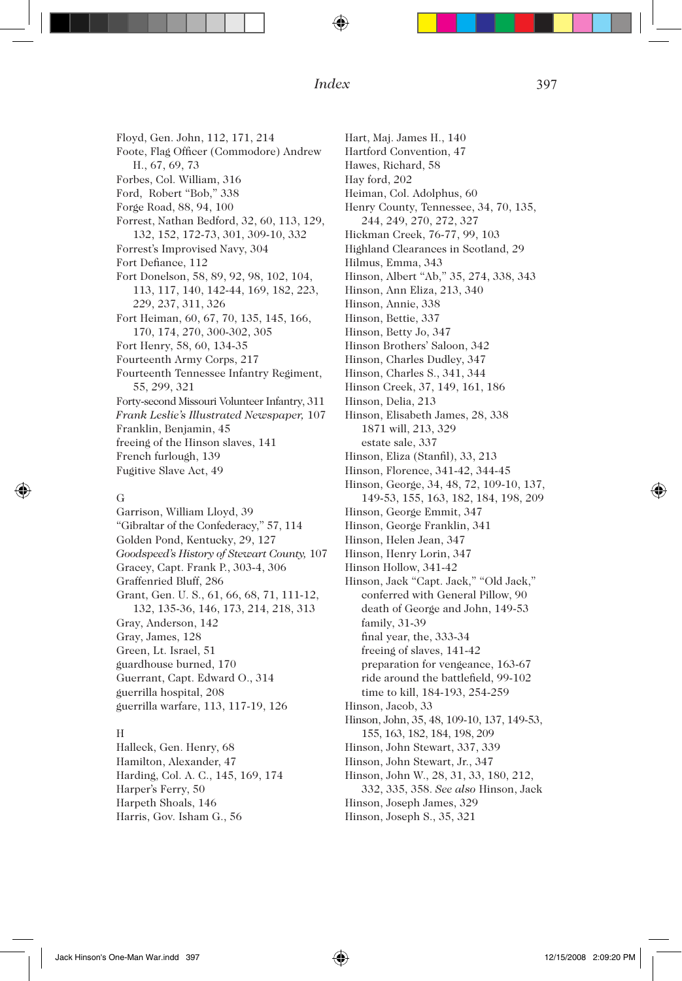Floyd, Gen. John, 112, 171, 214 Foote, Flag Officer (Commodore) Andrew H., 67, 69, 73 Forbes, Col. William, 316 Ford, Robert "Bob," 338 Forge Road, 88, 94, 100 Forrest, Nathan Bedford, 32, 60, 113, 129, 132, 152, 172-73, 301, 309-10, 332 Forrest's Improvised Navy, 304 Fort Defiance, 112 Fort Donelson, 58, 89, 92, 98, 102, 104, 113, 117, 140, 142-44, 169, 182, 223, 229, 237, 311, 326 Fort Heiman, 60, 67, 70, 135, 145, 166, 170, 174, 270, 300-302, 305 Fort Henry, 58, 60, 134-35 Fourteenth Army Corps, 217 Fourteenth Tennessee Infantry Regiment, 55, 299, 321 Forty-second Missouri Volunteer Infantry, 311 *Frank Leslie's Illustrated Newspaper,* 107 Franklin, Benjamin, 45 freeing of the Hinson slaves, 141 French furlough, 139 Fugitive Slave Act, 49 G

Garrison, William Lloyd, 39 "Gibraltar of the Confederacy," 57, 114 Golden Pond, Kentucky, 29, 127 *Goodspeed's History of Stewart County,* 107 Gracey, Capt. Frank P., 303-4, 306 Graffenried Bluff, 286 Grant, Gen. U. S., 61, 66, 68, 71, 111-12, 132, 135-36, 146, 173, 214, 218, 313 Gray, Anderson, 142 Gray, James, 128 Green, Lt. Israel, 51 guardhouse burned, 170 Guerrant, Capt. Edward O., 314 guerrilla hospital, 208 guerrilla warfare, 113, 117-19, 126 H

Halleck, Gen. Henry, 68 Hamilton, Alexander, 47 Harding, Col. A. C., 145, 169, 174 Harper's Ferry, 50 Harpeth Shoals, 146 Harris, Gov. Isham G., 56

Hart, Maj. James H., 140 Hartford Convention, 47 Hawes, Richard, 58 Hay ford, 202 Heiman, Col. Adolphus, 60 Henry County, Tennessee, 34, 70, 135, 244, 249, 270, 272, 327 Hickman Creek, 76-77, 99, 103 Highland Clearances in Scotland, 29 Hilmus, Emma, 343 Hinson, Albert "Ab," 35, 274, 338, 343 Hinson, Ann Eliza, 213, 340 Hinson, Annie, 338 Hinson, Bettie, 337 Hinson, Betty Jo, 347 Hinson Brothers' Saloon, 342 Hinson, Charles Dudley, 347 Hinson, Charles S., 341, 344 Hinson Creek, 37, 149, 161, 186 Hinson, Delia, 213 Hinson, Elisabeth James, 28, 338 1871 will, 213, 329 estate sale, 337 Hinson, Eliza (Stanfil), 33, 213 Hinson, Florence, 341-42, 344-45 Hinson, George, 34, 48, 72, 109-10, 137, 149-53, 155, 163, 182, 184, 198, 209 Hinson, George Emmit, 347 Hinson, George Franklin, 341 Hinson, Helen Jean, 347 Hinson, Henry Lorin, 347 Hinson Hollow, 341-42 Hinson, Jack "Capt. Jack," "Old Jack," conferred with General Pillow, 90 death of George and John, 149-53 family, 31-39 final year, the, 333-34 freeing of slaves, 141-42 preparation for vengeance, 163-67 ride around the battlefield, 99-102 time to kill, 184-193, 254-259 Hinson, Jacob, 33 Hinson, John, 35, 48, 109-10, 137, 149-53, 155, 163, 182, 184, 198, 209 Hinson, John Stewart, 337, 339 Hinson, John Stewart, Jr., 347 Hinson, John W., 28, 31, 33, 180, 212, 332, 335, 358. *See also* Hinson, Jack Hinson, Joseph James, 329 Hinson, Joseph S., 35, 321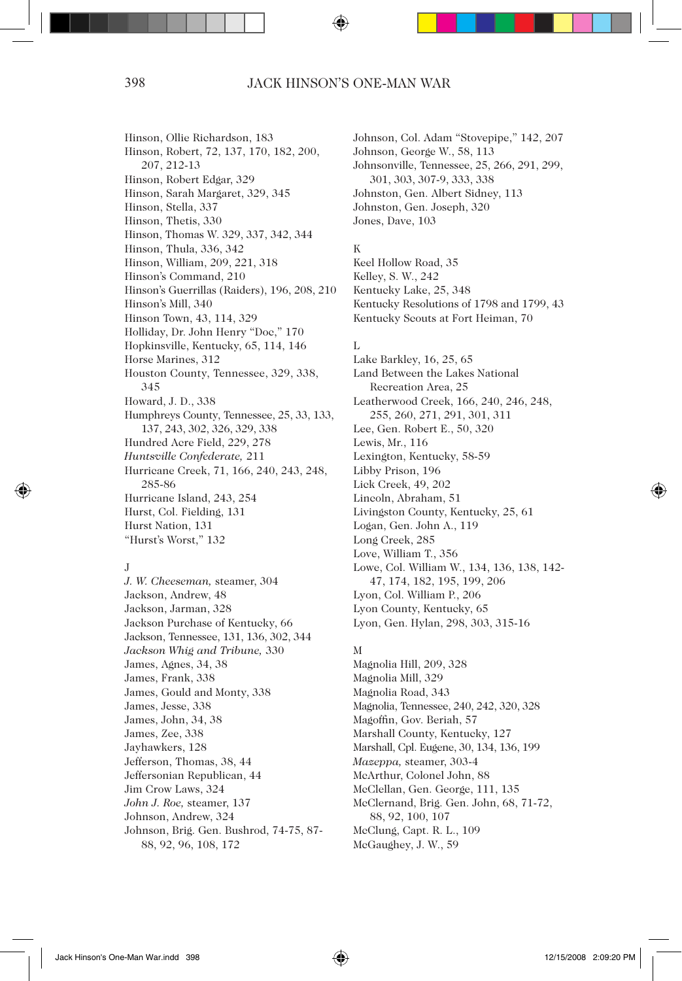Hinson, Ollie Richardson, 183 Hinson, Robert, 72, 137, 170, 182, 200, 207, 212-13 Hinson, Robert Edgar, 329 Hinson, Sarah Margaret, 329, 345 Hinson, Stella, 337 Hinson, Thetis, 330 Hinson, Thomas W. 329, 337, 342, 344 Hinson, Thula, 336, 342 Hinson, William, 209, 221, 318 Hinson's Command, 210 Hinson's Guerrillas (Raiders), 196, 208, 210 Hinson's Mill, 340 Hinson Town, 43, 114, 329 Holliday, Dr. John Henry "Doc," 170 Hopkinsville, Kentucky, 65, 114, 146 Horse Marines, 312 Houston County, Tennessee, 329, 338, 345 Howard, J. D., 338 Humphreys County, Tennessee, 25, 33, 133, 137, 243, 302, 326, 329, 338 Hundred Acre Field, 229, 278 *Huntsville Confederate,* 211 Hurricane Creek, 71, 166, 240, 243, 248, 285-86 Hurricane Island, 243, 254 Hurst, Col. Fielding, 131 Hurst Nation, 131 "Hurst's Worst," 132

# J

*J. W. Cheeseman,* steamer, 304 Jackson, Andrew, 48 Jackson, Jarman, 328 Jackson Purchase of Kentucky, 66 Jackson, Tennessee, 131, 136, 302, 344 *Jackson Whig and Tribune,* 330 James, Agnes, 34, 38 James, Frank, 338 James, Gould and Monty, 338 James, Jesse, 338 James, John, 34, 38 James, Zee, 338 Jayhawkers, 128 Jefferson, Thomas, 38, 44 Jeffersonian Republican, 44 Jim Crow Laws, 324 *John J. Roe,* steamer, 137 Johnson, Andrew, 324 Johnson, Brig. Gen. Bushrod, 74-75, 87- 88, 92, 96, 108, 172

Johnson, Col. Adam "Stovepipe," 142, 207 Johnson, George W., 58, 113 Johnsonville, Tennessee, 25, 266, 291, 299, 301, 303, 307-9, 333, 338 Johnston, Gen. Albert Sidney, 113 Johnston, Gen. Joseph, 320 Jones, Dave, 103

# K

Keel Hollow Road, 35 Kelley, S. W., 242 Kentucky Lake, 25, 348 Kentucky Resolutions of 1798 and 1799, 43 Kentucky Scouts at Fort Heiman, 70

# L

Lake Barkley, 16, 25, 65 Land Between the Lakes National Recreation Area, 25 Leatherwood Creek, 166, 240, 246, 248, 255, 260, 271, 291, 301, 311 Lee, Gen. Robert E., 50, 320 Lewis, Mr., 116 Lexington, Kentucky, 58-59 Libby Prison, 196 Lick Creek, 49, 202 Lincoln, Abraham, 51 Livingston County, Kentucky, 25, 61 Logan, Gen. John A., 119 Long Creek, 285 Love, William T., 356 Lowe, Col. William W., 134, 136, 138, 142- 47, 174, 182, 195, 199, 206 Lyon, Col. William P., 206 Lyon County, Kentucky, 65 Lyon, Gen. Hylan, 298, 303, 315-16

# M

Magnolia Hill, 209, 328 Magnolia Mill, 329 Magnolia Road, 343 Magnolia, Tennessee, 240, 242, 320, 328 Magoffin, Gov. Beriah, 57 Marshall County, Kentucky, 127 Marshall, Cpl. Eugene, 30, 134, 136, 199 *Mazeppa,* steamer, 303-4 McArthur, Colonel John, 88 McClellan, Gen. George, 111, 135 McClernand, Brig. Gen. John, 68, 71-72, 88, 92, 100, 107 McClung, Capt. R. L., 109 McGaughey, J. W., 59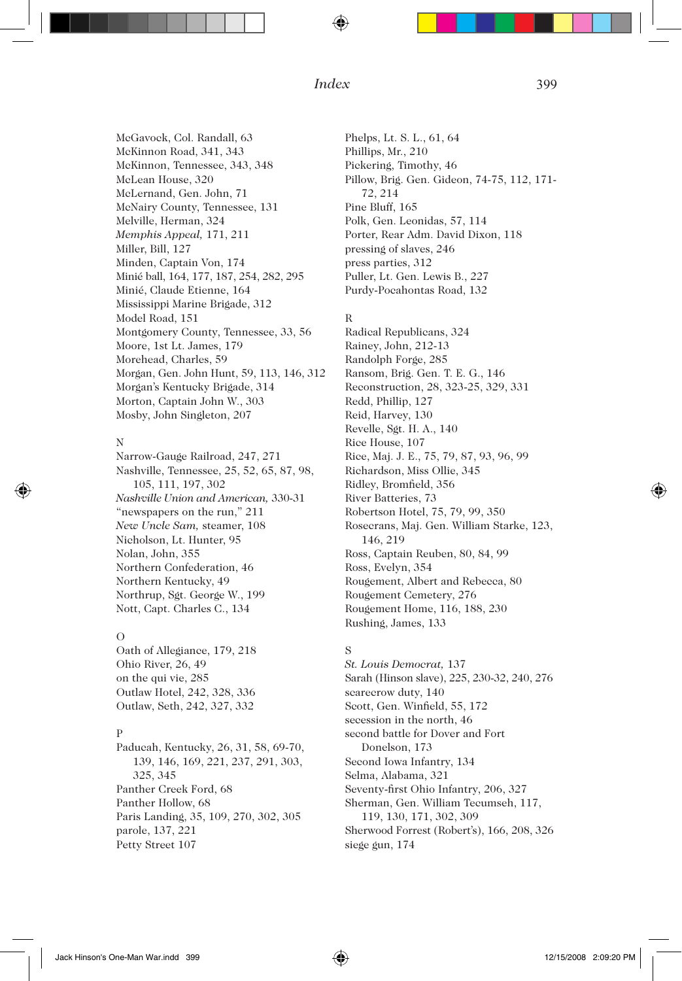McGavock, Col. Randall, 63 McKinnon Road, 341, 343 McKinnon, Tennessee, 343, 348 McLean House, 320 McLernand, Gen. John, 71 McNairy County, Tennessee, 131 Melville, Herman, 324 *Memphis Appeal,* 171, 211 Miller, Bill, 127 Minden, Captain Von, 174 Minié ball, 164, 177, 187, 254, 282, 295 Minié, Claude Etienne, 164 Mississippi Marine Brigade, 312 Model Road, 151 Montgomery County, Tennessee, 33, 56 Moore, 1st Lt. James, 179 Morehead, Charles, 59 Morgan, Gen. John Hunt, 59, 113, 146, 312 Morgan's Kentucky Brigade, 314 Morton, Captain John W., 303 Mosby, John Singleton, 207

# N

Narrow-Gauge Railroad, 247, 271 Nashville, Tennessee, 25, 52, 65, 87, 98, 105, 111, 197, 302 *Nashville Union and American,* 330-31 "newspapers on the run," 211 *New Uncle Sam,* steamer, 108 Nicholson, Lt. Hunter, 95 Nolan, John, 355 Northern Confederation, 46 Northern Kentucky, 49 Northrup, Sgt. George W., 199 Nott, Capt. Charles C., 134

#### $\Omega$

Oath of Allegiance, 179, 218 Ohio River, 26, 49 on the qui vie, 285 Outlaw Hotel, 242, 328, 336 Outlaw, Seth, 242, 327, 332

# P

Paducah, Kentucky, 26, 31, 58, 69-70, 139, 146, 169, 221, 237, 291, 303, 325, 345 Panther Creek Ford, 68 Panther Hollow, 68 Paris Landing, 35, 109, 270, 302, 305 parole, 137, 221 Petty Street 107

Phelps, Lt. S. L., 61, 64 Phillips, Mr., 210 Pickering, Timothy, 46 Pillow, Brig. Gen. Gideon, 74-75, 112, 171- 72, 214 Pine Bluff, 165 Polk, Gen. Leonidas, 57, 114 Porter, Rear Adm. David Dixon, 118 pressing of slaves, 246 press parties, 312 Puller, Lt. Gen. Lewis B., 227 Purdy-Pocahontas Road, 132

# R

Radical Republicans, 324 Rainey, John, 212-13 Randolph Forge, 285 Ransom, Brig. Gen. T. E. G., 146 Reconstruction, 28, 323-25, 329, 331 Redd, Phillip, 127 Reid, Harvey, 130 Revelle, Sgt. H. A., 140 Rice House, 107 Rice, Maj. J. E., 75, 79, 87, 93, 96, 99 Richardson, Miss Ollie, 345 Ridley, Bromfield, 356 River Batteries, 73 Robertson Hotel, 75, 79, 99, 350 Rosecrans, Maj. Gen. William Starke, 123, 146, 219 Ross, Captain Reuben, 80, 84, 99 Ross, Evelyn, 354 Rougement, Albert and Rebecca, 80 Rougement Cemetery, 276 Rougement Home, 116, 188, 230 Rushing, James, 133

# S

*St. Louis Democrat,* 137 Sarah (Hinson slave), 225, 230-32, 240, 276 scarecrow duty, 140 Scott, Gen. Winfield, 55, 172 secession in the north, 46 second battle for Dover and Fort Donelson, 173 Second Iowa Infantry, 134 Selma, Alabama, 321 Seventy-first Ohio Infantry, 206, 327 Sherman, Gen. William Tecumseh, 117, 119, 130, 171, 302, 309 Sherwood Forrest (Robert's), 166, 208, 326 siege gun, 174